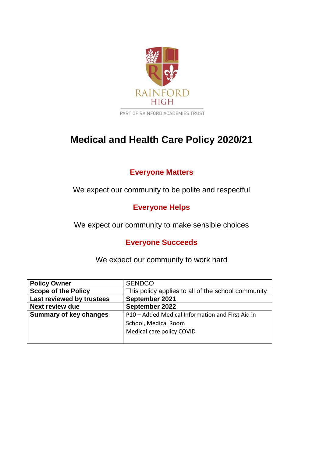

# **Medical and Health Care Policy 2020/21**

# **Everyone Matters**

We expect our community to be polite and respectful

**Everyone Helps**

We expect our community to make sensible choices

# **Everyone Succeeds**

We expect our community to work hard

| <b>Policy Owner</b>           | <b>SENDCO</b>                                      |
|-------------------------------|----------------------------------------------------|
| <b>Scope of the Policy</b>    | This policy applies to all of the school community |
| Last reviewed by trustees     | September 2021                                     |
| <b>Next review due</b>        | September 2022                                     |
| <b>Summary of key changes</b> | P10 - Added Medical Information and First Aid in   |
|                               | School, Medical Room                               |
|                               | Medical care policy COVID                          |
|                               |                                                    |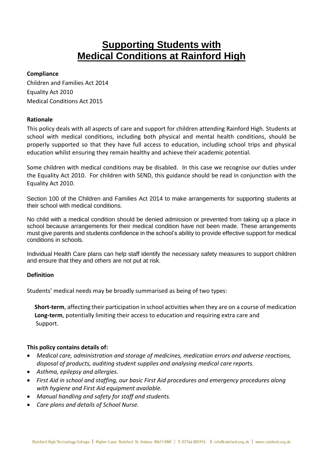# **Supporting Students with Medical Conditions at Rainford High**

#### **Compliance**

Children and Families Act 2014 Equality Act 2010 Medical Conditions Act 2015

# **Rationale**

This policy deals with all aspects of care and support for children attending Rainford High. Students at school with medical conditions, including both physical and mental health conditions, should be properly supported so that they have full access to education, including school trips and physical education whilst ensuring they remain healthy and achieve their academic potential.

Some children with medical conditions may be disabled. In this case we recognise our duties under the Equality Act 2010. For children with SEND, this guidance should be read in conjunction with the Equality Act 2010.

Section 100 of the Children and Families Act 2014 to make arrangements for supporting students at their school with medical conditions.

No child with a medical condition should be denied admission or prevented from taking up a place in school because arrangements for their medical condition have not been made. These arrangements must give parents and students confidence in the school's ability to provide effective support for medical conditions in schools.

Individual Health Care plans can help staff identify the necessary safety measures to support children and ensure that they and others are not put at risk.

# **Definition**

Students' medical needs may be broadly summarised as being of two types:

**Short-term**, affecting their participation in school activities when they are on a course of medication **Long-term**, potentially limiting their access to education and requiring extra care and Support.

# **This policy contains details of:**

- *Medical care, administration and storage of medicines, medication errors and adverse reactions, disposal of products, auditing student supplies and analysing medical care reports.*
- *Asthma, epilepsy and allergies.*
- *First Aid in school and staffing, our basic First Aid procedures and emergency procedures along with hygiene and First Aid equipment available.*
- *Manual handling and safety for staff and students.*
- *Care plans and details of School Nurse.*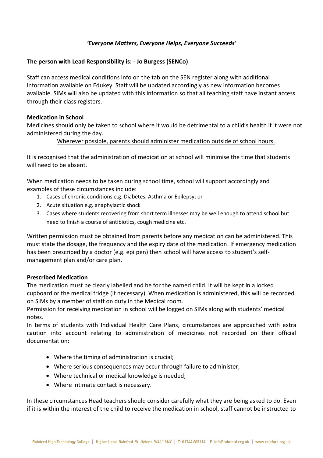# *'Everyone Matters, Everyone Helps, Everyone Succeeds'*

# **The person with Lead Responsibility is: - Jo Burgess (SENCo)**

Staff can access medical conditions info on the tab on the SEN register along with additional information available on Edukey. Staff will be updated accordingly as new information becomes available. SIMs will also be updated with this information so that all teaching staff have instant access through their class registers.

#### **Medication in School**

Medicines should only be taken to school where it would be detrimental to a child's health if it were not administered during the day.

# Wherever possible, parents should administer medication outside of school hours.

It is recognised that the administration of medication at school will minimise the time that students will need to be absent.

When medication needs to be taken during school time, school will support accordingly and examples of these circumstances include:

- 1. Cases of chronic conditions e.g. Diabetes, Asthma or Epilepsy; or
- 2. Acute situation e.g. anaphylactic shock
- 3. Cases where students recovering from short term illnesses may be well enough to attend school but need to finish a course of antibiotics, cough medicine etc.

Written permission must be obtained from parents before any medication can be administered. This must state the dosage, the frequency and the expiry date of the medication. If emergency medication has been prescribed by a doctor (e.g. epi pen) then school will have access to student's selfmanagement plan and/or care plan.

# **Prescribed Medication**

The medication must be clearly labelled and be for the named child. It will be kept in a locked cupboard or the medical fridge (if necessary). When medication is administered, this will be recorded on SIMs by a member of staff on duty in the Medical room.

Permission for receiving medication in school will be logged on SIMs along with students' medical notes.

In terms of students with Individual Health Care Plans, circumstances are approached with extra caution into account relating to administration of medicines not recorded on their official documentation:

- Where the timing of administration is crucial;
- Where serious consequences may occur through failure to administer;
- Where technical or medical knowledge is needed;
- Where intimate contact is necessary.

In these circumstances Head teachers should consider carefully what they are being asked to do. Even if it is within the interest of the child to receive the medication in school, staff cannot be instructed to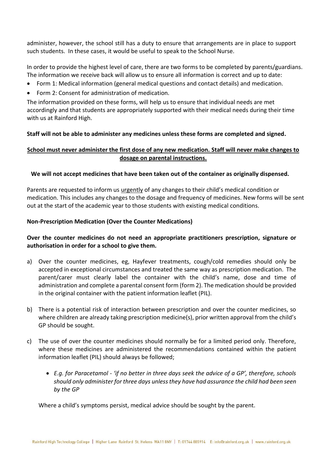administer, however, the school still has a duty to ensure that arrangements are in place to support such students. In these cases, it would be useful to speak to the School Nurse.

In order to provide the highest level of care, there are two forms to be completed by parents/guardians. The information we receive back will allow us to ensure all information is correct and up to date:

- Form 1: Medical information (general medical questions and contact details) and medication.
- Form 2: Consent for administration of medication.

The information provided on these forms, will help us to ensure that individual needs are met accordingly and that students are appropriately supported with their medical needs during their time with us at Rainford High.

# **Staff will not be able to administer any medicines unless these forms are completed and signed.**

# **School must never administer the first dose of any new medication. Staff will never make changes to dosage on parental instructions.**

# **We will not accept medicines that have been taken out of the container as originally dispensed.**

Parents are requested to inform us urgently of any changes to their child's medical condition or medication. This includes any changes to the dosage and frequency of medicines. New forms will be sent out at the start of the academic year to those students with existing medical conditions.

# **Non-Prescription Medication (Over the Counter Medications)**

# **Over the counter medicines do not need an appropriate practitioners prescription, signature or authorisation in order for a school to give them.**

- a) Over the counter medicines, eg, Hayfever treatments, cough/cold remedies should only be accepted in exceptional circumstances and treated the same way as prescription medication. The parent/carer must clearly label the container with the child's name, dose and time of administration and complete a parental consent form (form 2). The medication should be provided in the original container with the patient information leaflet (PIL).
- b) There is a potential risk of interaction between prescription and over the counter medicines, so where children are already taking prescription medicine(s), prior written approval from the child's GP should be sought.
- c) The use of over the counter medicines should normally be for a limited period only. Therefore, where these medicines are administered the recommendations contained within the patient information leaflet (PIL) should always be followed;
	- *E.g. for Paracetamol - 'if no better in three days seek the advice of a GP', therefore, schools should only administer for three days unless they have had assurance the child had been seen by the GP*

Where a child's symptoms persist, medical advice should be sought by the parent.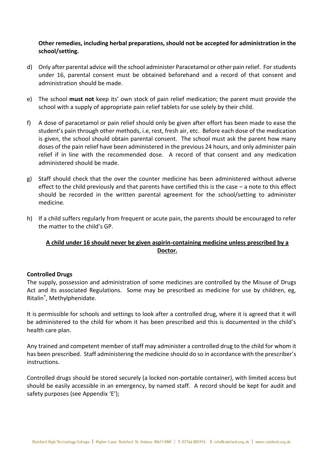# **Other remedies, including herbal preparations, should not be accepted for administration in the school/setting.**

- d) Only after parental advice will the school administer Paracetamol or other pain relief. For students under 16, parental consent must be obtained beforehand and a record of that consent and administration should be made.
- e) The school **must not** keep its' own stock of pain relief medication; the parent must provide the school with a supply of appropriate pain relief tablets for use solely by their child.
- f) A dose of paracetamol or pain relief should only be given after effort has been made to ease the student's pain through other methods, i.e, rest, fresh air, etc. Before each dose of the medication is given, the school should obtain parental consent. The school must ask the parent how many doses of the pain relief have been administered in the previous 24 hours, and only administer pain relief if in line with the recommended dose. A record of that consent and any medication administered should be made.
- g) Staff should check that the over the counter medicine has been administered without adverse effect to the child previously and that parents have certified this is the case – a note to this effect should be recorded in the written parental agreement for the school/setting to administer medicine.
- h) If a child suffers regularly from frequent or acute pain, the parents should be encouraged to refer the matter to the child's GP.

# **A child under 16 should never be given aspirin-containing medicine unless prescribed by a Doctor.**

# **Controlled Drugs**

The supply, possession and administration of some medicines are controlled by the Misuse of Drugs Act and its associated Regulations. Some may be prescribed as medicine for use by children, eg, Ritalin® , Methylphenidate.

It is permissible for schools and settings to look after a controlled drug, where it is agreed that it will be administered to the child for whom it has been prescribed and this is documented in the child's health care plan.

Any trained and competent member of staff may administer a controlled drug to the child for whom it has been prescribed. Staff administering the medicine should do so in accordance with the prescriber's instructions.

Controlled drugs should be stored securely (a locked non-portable container), with limited access but should be easily accessible in an emergency, by named staff. A record should be kept for audit and safety purposes (see Appendix 'E');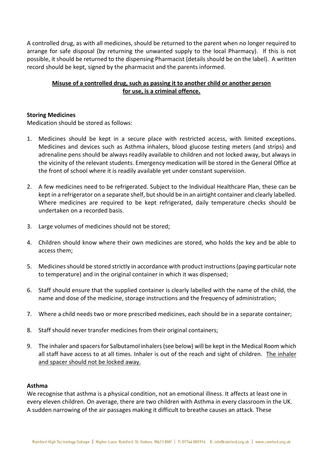A controlled drug, as with all medicines, should be returned to the parent when no longer required to arrange for safe disposal (by returning the unwanted supply to the local Pharmacy). If this is not possible, it should be returned to the dispensing Pharmacist (details should be on the label). A written record should be kept, signed by the pharmacist and the parents informed.

# **Misuse of a controlled drug, such as passing it to another child or another person for use, is a criminal offence.**

#### **Storing Medicines**

Medication should be stored as follows:

- 1. Medicines should be kept in a secure place with restricted access, with limited exceptions. Medicines and devices such as Asthma inhalers, blood glucose testing meters (and strips) and adrenaline pens should be always readily available to children and not locked away, but always in the vicinity of the relevant students. Emergency medication will be stored in the General Office at the front of school where it is readily available yet under constant supervision.
- 2. A few medicines need to be refrigerated. Subject to the Individual Healthcare Plan, these can be kept in a refrigerator on a separate shelf, but should be in an airtight container and clearly labelled. Where medicines are required to be kept refrigerated, daily temperature checks should be undertaken on a recorded basis.
- 3. Large volumes of medicines should not be stored;
- 4. Children should know where their own medicines are stored, who holds the key and be able to access them;
- 5. Medicines should be stored strictly in accordance with product instructions (paying particular note to temperature) and in the original container in which it was dispensed;
- 6. Staff should ensure that the supplied container is clearly labelled with the name of the child, the name and dose of the medicine, storage instructions and the frequency of administration;
- 7. Where a child needs two or more prescribed medicines, each should be in a separate container;
- 8. Staff should never transfer medicines from their original containers;
- 9. The inhaler and spacers for Salbutamol inhalers (see below) will be kept in the Medical Room which all staff have access to at all times. Inhaler is out of the reach and sight of children. The inhaler and spacer should not be locked away.

#### **Asthma**

We recognise that asthma is a physical condition, not an emotional illness. It affects at least one in every eleven children. On average, there are two children with Asthma in every classroom in the UK. A sudden narrowing of the air passages making it difficult to breathe causes an attack. These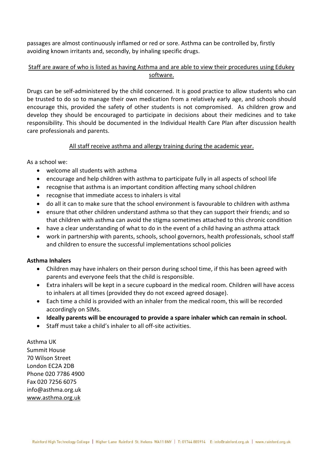passages are almost continuously inflamed or red or sore. Asthma can be controlled by, firstly avoiding known irritants and, secondly, by inhaling specific drugs.

# Staff are aware of who is listed as having Asthma and are able to view their procedures using Edukey software.

Drugs can be self-administered by the child concerned. It is good practice to allow students who can be trusted to do so to manage their own medication from a relatively early age, and schools should encourage this, provided the safety of other students is not compromised. As children grow and develop they should be encouraged to participate in decisions about their medicines and to take responsibility. This should be documented in the Individual Health Care Plan after discussion health care professionals and parents.

# All staff receive asthma and allergy training during the academic year.

As a school we:

- welcome all students with asthma
- encourage and help children with asthma to participate fully in all aspects of school life
- recognise that asthma is an important condition affecting many school children
- recognise that immediate access to inhalers is vital
- do all it can to make sure that the school environment is favourable to children with asthma
- ensure that other children understand asthma so that they can support their friends; and so that children with asthma can avoid the stigma sometimes attached to this chronic condition
- have a clear understanding of what to do in the event of a child having an asthma attack
- work in partnership with parents, schools, school governors, health professionals, school staff and children to ensure the successful implementations school policies

# **Asthma Inhalers**

- Children may have inhalers on their person during school time, if this has been agreed with parents and everyone feels that the child is responsible.
- Extra inhalers will be kept in a secure cupboard in the medical room. Children will have access to inhalers at all times (provided they do not exceed agreed dosage).
- Each time a child is provided with an inhaler from the medical room, this will be recorded accordingly on SIMs.
- **Ideally parents will be encouraged to provide a spare inhaler which can remain in school.**
- Staff must take a child's inhaler to all off-site activities.

Asthma UK Summit House 70 Wilson Street London EC2A 2DB Phone 020 7786 4900 Fax 020 7256 6075 info@asthma.org.uk [www.asthma.org.uk](http://www.asthma.org.uk/)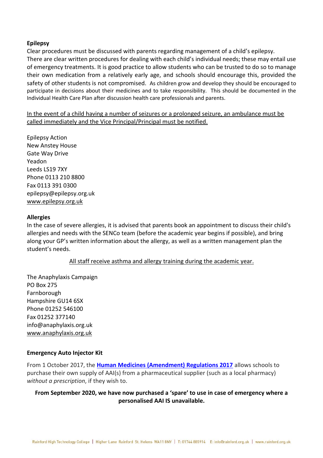# **Epilepsy**

Clear procedures must be discussed with parents regarding management of a child's epilepsy. There are clear written procedures for dealing with each child's individual needs; these may entail use of emergency treatments. It is good practice to allow students who can be trusted to do so to manage their own medication from a relatively early age, and schools should encourage this, provided the safety of other students is not compromised. As children grow and develop they should be encouraged to participate in decisions about their medicines and to take responsibility. This should be documented in the Individual Health Care Plan after discussion health care professionals and parents.

In the event of a child having a number of seizures or a prolonged seizure, an ambulance must be called immediately and the Vice Principal/Principal must be notified.

Epilepsy Action New Anstey House Gate Way Drive Yeadon Leeds LS19 7XY Phone 0113 210 8800 Fax 0113 391 0300 epilepsy@epilepsy.org.uk [www.epilepsy.org.uk](http://www.epilepsy.org.uk/)

#### **Allergies**

In the case of severe allergies, it is advised that parents book an appointment to discuss their child's allergies and needs with the SENCo team (before the academic year begins if possible), and bring along your GP's written information about the allergy, as well as a written management plan the student's needs.

#### All staff receive asthma and allergy training during the academic year.

The Anaphylaxis Campaign PO Box 275 Farnborough Hampshire GU14 6SX Phone 01252 546100 Fax 01252 377140 info@anaphylaxis.org.uk [www.anaphylaxis.org.uk](http://www.anaphylaxis.org.uk/)

#### **Emergency Auto Injector Kit**

From 1 October 2017, the **[Human Medicines \(Amendment\) Regulations 2017](http://www.legislation.gov.uk/uksi/2017/715/contents/made)** allows schools to purchase their own supply of AAI(s) from a pharmaceutical supplier (such as a local pharmacy) *without a prescription*, if they wish to.

# **From September 2020, we have now purchased a 'spare' to use in case of emergency where a personalised AAI IS unavailable.**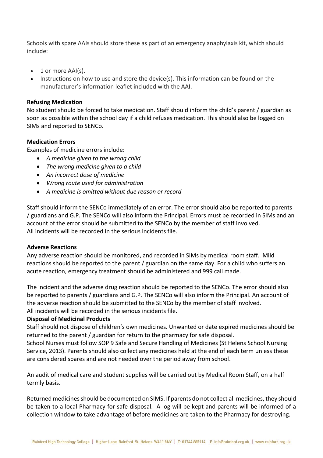Schools with spare AAIs should store these as part of an emergency anaphylaxis kit, which should include:

- $\bullet$  1 or more AAI(s).
- Instructions on how to use and store the device(s). This information can be found on the manufacturer's information leaflet included with the AAI.

#### **Refusing Medication**

No student should be forced to take medication. Staff should inform the child's parent / guardian as soon as possible within the school day if a child refuses medication. This should also be logged on SIMs and reported to SENCo.

#### **Medication Errors**

Examples of medicine errors include:

- *A medicine given to the wrong child*
- *The wrong medicine given to a child*
- *An incorrect dose of medicine*
- *Wrong route used for administration*
- *A medicine is omitted without due reason or record*

Staff should inform the SENCo immediately of an error. The error should also be reported to parents / guardians and G.P. The SENCo will also inform the Principal. Errors must be recorded in SIMs and an account of the error should be submitted to the SENCo by the member of staff involved. All incidents will be recorded in the serious incidents file.

#### **Adverse Reactions**

Any adverse reaction should be monitored, and recorded in SIMs by medical room staff. Mild reactions should be reported to the parent / guardian on the same day. For a child who suffers an acute reaction, emergency treatment should be administered and 999 call made.

The incident and the adverse drug reaction should be reported to the SENCo. The error should also be reported to parents / guardians and G.P. The SENCo will also inform the Principal. An account of the adverse reaction should be submitted to the SENCo by the member of staff involved. All incidents will be recorded in the serious incidents file.

#### **Disposal of Medicinal Products**

Staff should not dispose of children's own medicines. Unwanted or date expired medicines should be returned to the parent / guardian for return to the pharmacy for safe disposal.

School Nurses must follow SOP 9 Safe and Secure Handling of Medicines (St Helens School Nursing Service, 2013). Parents should also collect any medicines held at the end of each term unless these are considered spares and are not needed over the period away from school.

An audit of medical care and student supplies will be carried out by Medical Room Staff, on a half termly basis.

Returned medicines should be documented on SIMS. If parents do not collect all medicines, they should be taken to a local Pharmacy for safe disposal. A log will be kept and parents will be informed of a collection window to take advantage of before medicines are taken to the Pharmacy for destroying.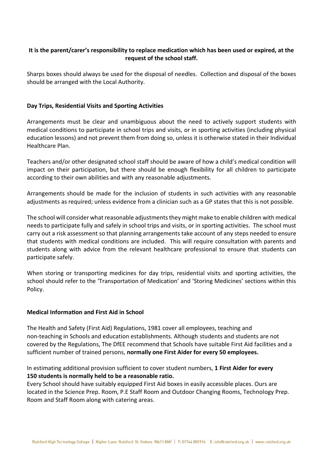# **It is the parent/carer's responsibility to replace medication which has been used or expired, at the request of the school staff.**

Sharps boxes should always be used for the disposal of needles. Collection and disposal of the boxes should be arranged with the Local Authority.

# **Day Trips, Residential Visits and Sporting Activities**

Arrangements must be clear and unambiguous about the need to actively support students with medical conditions to participate in school trips and visits, or in sporting activities (including physical education lessons) and not prevent them from doing so, unless it is otherwise stated in their Individual Healthcare Plan.

Teachers and/or other designated school staff should be aware of how a child's medical condition will impact on their participation, but there should be enough flexibility for all children to participate according to their own abilities and with any reasonable adjustments.

Arrangements should be made for the inclusion of students in such activities with any reasonable adjustments as required; unless evidence from a clinician such as a GP states that this is not possible.

The school will consider what reasonable adjustments they might make to enable children with medical needs to participate fully and safely in school trips and visits, or in sporting activities. The school must carry out a risk assessment so that planning arrangements take account of any steps needed to ensure that students with medical conditions are included. This will require consultation with parents and students along with advice from the relevant healthcare professional to ensure that students can participate safely.

When storing or transporting medicines for day trips, residential visits and sporting activities, the school should refer to the 'Transportation of Medication' and 'Storing Medicines' sections within this Policy.

# **Medical Information and First Aid in School**

The Health and Safety (First Aid) Regulations, 1981 cover all employees, teaching and non-teaching in Schools and education establishments. Although students and students are not covered by the Regulations, The DfEE recommend that Schools have suitable First Aid facilities and a sufficient number of trained persons, **normally one First Aider for every 50 employees.** 

In estimating additional provision sufficient to cover student numbers, **1 First Aider for every 150 students is normally held to be a reasonable ratio.**

Every School should have suitably equipped First Aid boxes in easily accessible places. Ours are located in the Science Prep. Room, P.E Staff Room and Outdoor Changing Rooms, Technology Prep. Room and Staff Room along with catering areas.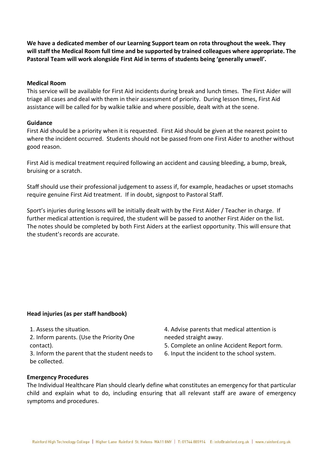**We have a dedicated member of our Learning Support team on rota throughout the week. They will staff the Medical Room full time and be supported by trained colleagues where appropriate. The Pastoral Team will work alongside First Aid in terms of students being 'generally unwell'.** 

#### **Medical Room**

This service will be available for First Aid incidents during break and lunch times. The First Aider will triage all cases and deal with them in their assessment of priority. During lesson times, First Aid assistance will be called for by walkie talkie and where possible, dealt with at the scene.

#### **Guidance**

First Aid should be a priority when it is requested. First Aid should be given at the nearest point to where the incident occurred. Students should not be passed from one First Aider to another without good reason.

First Aid is medical treatment required following an accident and causing bleeding, a bump, break, bruising or a scratch.

Staff should use their professional judgement to assess if, for example, headaches or upset stomachs require genuine First Aid treatment. If in doubt, signpost to Pastoral Staff.

Sport's injuries during lessons will be initially dealt with by the First Aider / Teacher in charge. If further medical attention is required, the student will be passed to another First Aider on the list. The notes should be completed by both First Aiders at the earliest opportunity. This will ensure that the student's records are accurate.

# **Head injuries (as per staff handbook)**

1. Assess the situation.

2. Inform parents. (Use the Priority One contact).

3. Inform the parent that the student needs to be collected.

- 4. Advise parents that medical attention is needed straight away.
- 5. Complete an online Accident Report form.
- 6. Input the incident to the school system.

#### **Emergency Procedures**

The Individual Healthcare Plan should clearly define what constitutes an emergency for that particular child and explain what to do, including ensuring that all relevant staff are aware of emergency symptoms and procedures.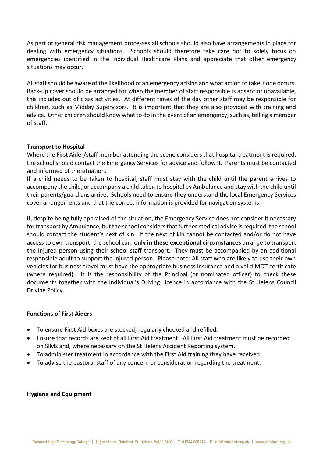As part of general risk management processes all schools should also have arrangements in place for dealing with emergency situations. Schools should therefore take care not to solely focus on emergencies identified in the Individual Healthcare Plans and appreciate that other emergency situations may occur.

All staff should be aware of the likelihood of an emergency arising and what action to take if one occurs. Back-up cover should be arranged for when the member of staff responsible is absent or unavailable, this includes out of class activities. At different times of the day other staff may be responsible for children, such as Midday Supervisors. It is important that they are also provided with training and advice. Other children should know what to do in the event of an emergency, such as, telling a member of staff.

# **Transport to Hospital**

Where the First Aider/staff member attending the scene considers that hospital treatment is required, the school should contact the Emergency Services for advice and follow it. Parents must be contacted and informed of the situation.

If a child needs to be taken to hospital, staff must stay with the child until the parent arrives to accompany the child, or accompany a child taken to hospital by Ambulance and stay with the child until their parents/guardians arrive. Schools need to ensure they understand the local Emergency Services cover arrangements and that the correct information is provided for navigation systems.

If, despite being fully appraised of the situation, the Emergency Service does not consider it necessary for transport by Ambulance, but the school considers that further medical advice is required, the school should contact the student's next of kin. If the next of kin cannot be contacted and/or do not have access to own transport, the school can, **only in these exceptional circumstances** arrange to transport the injured person using their school staff transport. They must be accompanied by an additional responsible adult to support the injured person. Please note: All staff who are likely to use their own vehicles for business travel must have the appropriate business insurance and a valid MOT certificate (where required). It is the responsibility of the Principal (or nominated officer) to check these documents together with the individual's Driving Licence in accordance with the St Helens Council Driving Policy.

# **Functions of First Aiders**

- To ensure First Aid boxes are stocked, regularly checked and refilled.
- Ensure that records are kept of all First Aid treatment. All First Aid treatment must be recorded on SIMs and, where necessary on the St Helens Accident Reporting system.
- To administer treatment in accordance with the First Aid training they have received.
- To advise the pastoral staff of any concern or consideration regarding the treatment.

# **Hygiene and Equipment**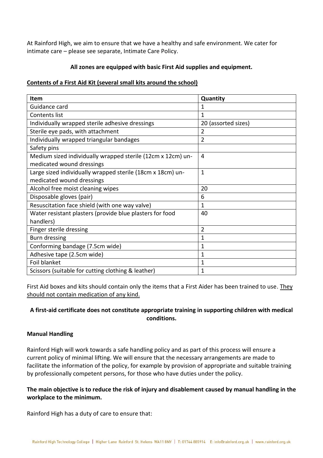At Rainford High, we aim to ensure that we have a healthy and safe environment. We cater for intimate care – please see separate, Intimate Care Policy.

# **All zones are equipped with basic First Aid supplies and equipment.**

# **Contents of a First Aid Kit (several small kits around the school)**

| <b>Item</b>                                                 | Quantity            |
|-------------------------------------------------------------|---------------------|
| Guidance card                                               | 1                   |
| Contents list                                               | 1                   |
| Individually wrapped sterile adhesive dressings             | 20 (assorted sizes) |
| Sterile eye pads, with attachment                           | 2                   |
| Individually wrapped triangular bandages                    | 2                   |
| Safety pins                                                 |                     |
| Medium sized individually wrapped sterile (12cm x 12cm) un- | 4                   |
| medicated wound dressings                                   |                     |
| Large sized individually wrapped sterile (18cm x 18cm) un-  | $\mathbf{1}$        |
| medicated wound dressings                                   |                     |
| Alcohol free moist cleaning wipes                           | 20                  |
| Disposable gloves (pair)                                    | 6                   |
| Resuscitation face shield (with one way valve)              | $\mathbf{1}$        |
| Water resistant plasters (provide blue plasters for food    | 40                  |
| handlers)                                                   |                     |
| Finger sterile dressing                                     | $\overline{2}$      |
| Burn dressing                                               | 1                   |
| Conforming bandage (7.5cm wide)                             | 1                   |
| Adhesive tape (2.5cm wide)                                  | 1                   |
| Foil blanket                                                | 1                   |
| Scissors (suitable for cutting clothing & leather)          | 1                   |

First Aid boxes and kits should contain only the items that a First Aider has been trained to use. They should not contain medication of any kind.

# **A first-aid certificate does not constitute appropriate training in supporting children with medical conditions.**

# **Manual Handling**

Rainford High will work towards a safe handling policy and as part of this process will ensure a current policy of minimal lifting. We will ensure that the necessary arrangements are made to facilitate the information of the policy, for example by provision of appropriate and suitable training by professionally competent persons, for those who have duties under the policy.

# **The main objective is to reduce the risk of injury and disablement caused by manual handling in the workplace to the minimum.**

Rainford High has a duty of care to ensure that: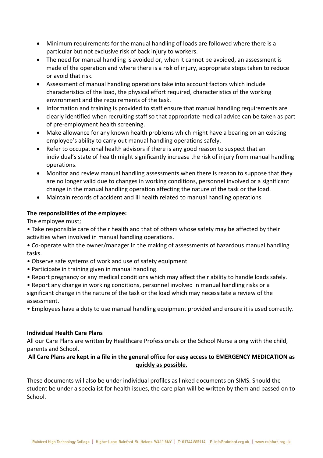- Minimum requirements for the manual handling of loads are followed where there is a particular but not exclusive risk of back injury to workers.
- The need for manual handling is avoided or, when it cannot be avoided, an assessment is made of the operation and where there is a risk of injury, appropriate steps taken to reduce or avoid that risk.
- Assessment of manual handling operations take into account factors which include characteristics of the load, the physical effort required, characteristics of the working environment and the requirements of the task.
- Information and training is provided to staff ensure that manual handling requirements are clearly identified when recruiting staff so that appropriate medical advice can be taken as part of pre-employment health screening.
- Make allowance for any known health problems which might have a bearing on an existing employee's ability to carry out manual handling operations safely.
- Refer to occupational health advisors if there is any good reason to suspect that an individual's state of health might significantly increase the risk of injury from manual handling operations.
- Monitor and review manual handling assessments when there is reason to suppose that they are no longer valid due to changes in working conditions, personnel involved or a significant change in the manual handling operation affecting the nature of the task or the load.
- Maintain records of accident and ill health related to manual handling operations.

# **The responsibilities of the employee:**

The employee must;

• Take responsible care of their health and that of others whose safety may be affected by their activities when involved in manual handling operations.

• Co-operate with the owner/manager in the making of assessments of hazardous manual handling tasks.

- Observe safe systems of work and use of safety equipment
- Participate in training given in manual handling.
- Report pregnancy or any medical conditions which may affect their ability to handle loads safely.

• Report any change in working conditions, personnel involved in manual handling risks or a significant change in the nature of the task or the load which may necessitate a review of the assessment.

• Employees have a duty to use manual handling equipment provided and ensure it is used correctly.

# **Individual Health Care Plans**

All our Care Plans are written by Healthcare Professionals or the School Nurse along with the child, parents and School.

# **All Care Plans are kept in a file in the general office for easy access to EMERGENCY MEDICATION as quickly as possible.**

These documents will also be under individual profiles as linked documents on SIMS. Should the student be under a specialist for health issues, the care plan will be written by them and passed on to School.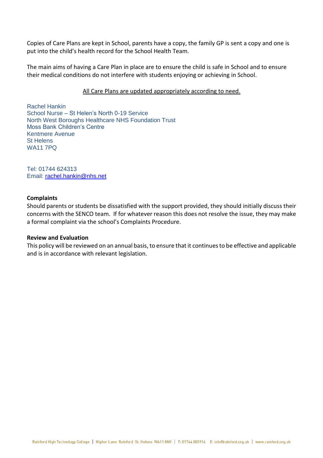Copies of Care Plans are kept in School, parents have a copy, the family GP is sent a copy and one is put into the child's health record for the School Health Team.

The main aims of having a Care Plan in place are to ensure the child is safe in School and to ensure their medical conditions do not interfere with students enjoying or achieving in School.

#### All Care Plans are updated appropriately according to need.

Rachel Hankin School Nurse – St Helen's North 0-19 Service North West Boroughs Healthcare NHS Foundation Trust Moss Bank Children's Centre Kentmere Avenue St Helens WA11 7PQ

Tel: 01744 624313 Email: [rachel.hankin@nhs.net](mailto:rachel.hankin@nhs.net)

#### **Complaints**

Should parents or students be dissatisfied with the support provided, they should initially discuss their concerns with the SENCO team. If for whatever reason this does not resolve the issue, they may make a formal complaint via the school's Complaints Procedure.

#### **Review and Evaluation**

This policy will be reviewed on an annual basis, to ensure that it continues to be effective and applicable and is in accordance with relevant legislation.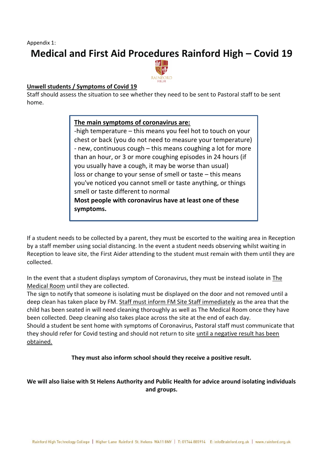Appendix 1:

# **Medical and First Aid Procedures Rainford High – Covid 19**



# **Unwell students / Symptoms of Covid 19**

Staff should assess the situation to see whether they need to be sent to Pastoral staff to be sent home.

# **The main symptoms of coronavirus are:**

-high temperature – this means you feel hot to touch on your chest or back (you do not need to measure your temperature) - new, continuous cough – this means coughing a lot for more than an hour, or 3 or more coughing episodes in 24 hours (if you usually have a cough, it may be worse than usual) loss or change to your sense of smell or taste – this means you've noticed you cannot smell or taste anything, or things smell or taste different to normal **Most people with coronavirus have at least one of these symptoms.**

If a student needs to be collected by a parent, they must be escorted to the waiting area in Reception by a staff member using social distancing. In the event a student needs observing whilst waiting in Reception to leave site, the First Aider attending to the student must remain with them until they are collected.

In the event that a student displays symptom of Coronavirus, they must be instead isolate in The Medical Room until they are collected.

The sign to notify that someone is isolating must be displayed on the door and not removed until a deep clean has taken place by FM. Staff must inform FM Site Staff immediately as the area that the child has been seated in will need cleaning thoroughly as well as The Medical Room once they have been collected. Deep cleaning also takes place across the site at the end of each day.

Should a student be sent home with symptoms of Coronavirus, Pastoral staff must communicate that they should refer for Covid testing and should not return to site until a negative result has been obtained.

**They must also inform school should they receive a positive result.**

# **We will also liaise with St Helens Authority and Public Health for advice around isolating individuals and groups.**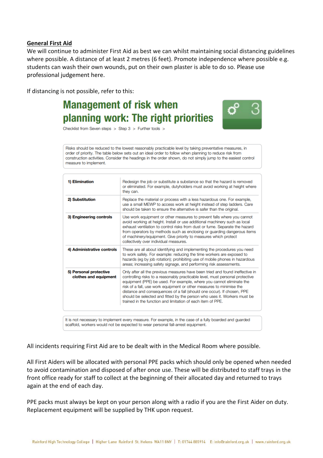## **General First Aid**

We will continue to administer First Aid as best we can whilst maintaining social distancing guidelines where possible. A distance of at least 2 metres (6 feet). Promote independence where possible e.g. students can wash their own wounds, put on their own plaster is able to do so. Please use professional judgement here.

ď

If distancing is not possible, refer to this:

# **Management of risk when** planning work: The right priorities

Checklist from Seven steps > Step 3 > Further tools >

Risks should be reduced to the lowest reasonably practicable level by taking preventative measures, in order of priority. The table below sets out an ideal order to follow when planning to reduce risk from construction activities. Consider the headings in the order shown, do not simply jump to the easiest control measure to implement.

| 1) Elimination                                  | Redesign the job or substitute a substance so that the hazard is removed<br>or eliminated. For example, dutyholders must avoid working at height where<br>they can.                                                                                                                                                                                                                                                                                                                                                                 |
|-------------------------------------------------|-------------------------------------------------------------------------------------------------------------------------------------------------------------------------------------------------------------------------------------------------------------------------------------------------------------------------------------------------------------------------------------------------------------------------------------------------------------------------------------------------------------------------------------|
| 2) Substitution                                 | Replace the material or process with a less hazardous one. For example,<br>use a small MEWP to access work at height instead of step ladders. Care<br>should be taken to ensure the alternative is safer than the original.                                                                                                                                                                                                                                                                                                         |
| 3) Engineering controls                         | Use work equipment or other measures to prevent falls where you cannot<br>avoid working at height. Install or use additional machinery such as local<br>exhaust ventilation to control risks from dust or fume. Separate the hazard<br>from operators by methods such as enclosing or guarding dangerous items<br>of machinery/equipment. Give priority to measures which protect<br>collectively over individual measures.                                                                                                         |
| 4) Administrative controls                      | These are all about identifying and implementing the procedures you need<br>to work safely. For example: reducing the time workers are exposed to<br>hazards (eg by job rotation); prohibiting use of mobile phones in hazardous<br>areas; increasing safety signage, and performing risk assessments.                                                                                                                                                                                                                              |
| 5) Personal protective<br>clothes and equipment | Only after all the previous measures have been tried and found ineffective in<br>controlling risks to a reasonably practicable level, must personal protective<br>equipment (PPE) be used. For example, where you cannot eliminate the<br>risk of a fall, use work equipment or other measures to minimise the<br>distance and consequences of a fall (should one occur). If chosen, PPE<br>should be selected and fitted by the person who uses it. Workers must be<br>trained in the function and limitation of each item of PPE. |

if a fully boarded and gu scaffold, workers would not be expected to wear personal fall-arrest equipment.

All incidents requiring First Aid are to be dealt with in the Medical Room where possible.

All First Aiders will be allocated with personal PPE packs which should only be opened when needed to avoid contamination and disposed of after once use. These will be distributed to staff trays in the front office ready for staff to collect at the beginning of their allocated day and returned to trays again at the end of each day.

PPE packs must always be kept on your person along with a radio if you are the First Aider on duty. Replacement equipment will be supplied by THK upon request.